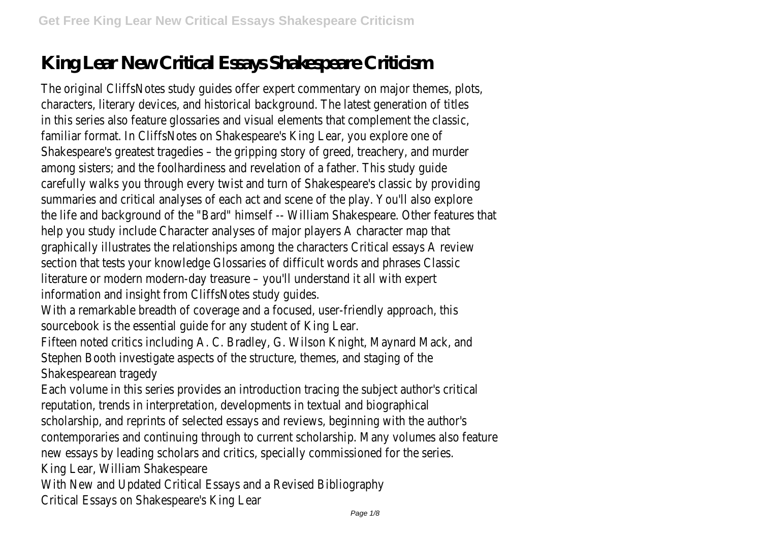# **King Lear New Critical Essays Shakespeare Criticism**

The original CliffsNotes study guides offer expert commentary on major themes, plots, characters, literary devices, and historical background. The latest generation of titles in this series also feature glossaries and visual elements that complement the classic, familiar format. In CliffsNotes on Shakespeare's King Lear, you explore one of Shakespeare's greatest tragedies – the gripping story of greed, treachery, and murder among sisters; and the foolhardiness and revelation of a father. This study guide carefully walks you through every twist and turn of Shakespeare's classic by providing summaries and critical analyses of each act and scene of the play. You'll also explore the life and background of the "Bard" himself -- William Shakespeare. Other features that help you study include Character analyses of major players A character map that graphically illustrates the relationships among the characters Critical essays A review section that tests your knowledge Glossaries of difficult words and phrases Classic literature or modern modern-day treasure – you'll understand it all with expert information and insight from CliffsNotes study guides.

With a remarkable breadth of coverage and a focused, user-friendly approach, this sourcebook is the essential guide for any student of King Lear.

Fifteen noted critics including A. C. Bradley, G. Wilson Knight, Maynard Mack, and Stephen Booth investigate aspects of the structure, themes, and staging of the Shakespearean tragedy

Each volume in this series provides an introduction tracing the subject author's critical reputation, trends in interpretation, developments in textual and biographical scholarship, and reprints of selected essays and reviews, beginning with the author's contemporaries and continuing through to current scholarship. Many volumes also feature new essays by leading scholars and critics, specially commissioned for the series. King Lear, William Shakespeare

With New and Updated Critical Essays and a Revised Bibliography

Critical Essays on Shakespeare's King Lear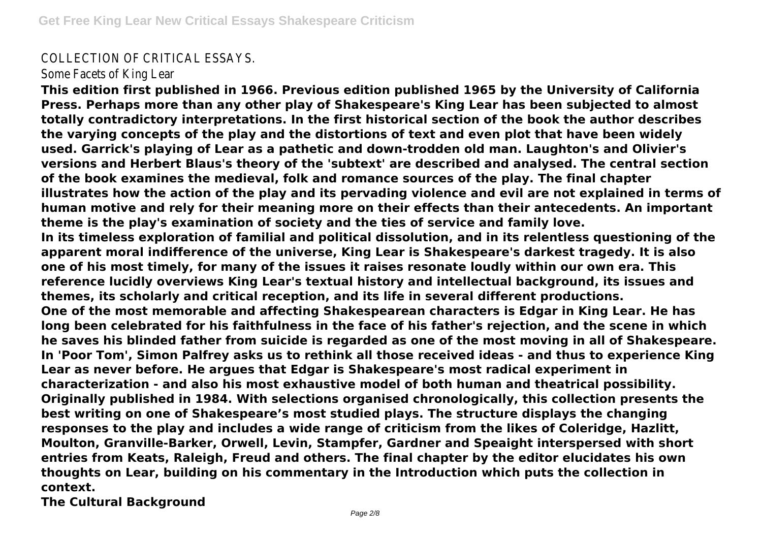#### COLLECTION OF CRITICAL ESSAYS.

Some Facets of King Lear

**This edition first published in 1966. Previous edition published 1965 by the University of California Press. Perhaps more than any other play of Shakespeare's King Lear has been subjected to almost totally contradictory interpretations. In the first historical section of the book the author describes the varying concepts of the play and the distortions of text and even plot that have been widely used. Garrick's playing of Lear as a pathetic and down-trodden old man. Laughton's and Olivier's versions and Herbert Blaus's theory of the 'subtext' are described and analysed. The central section of the book examines the medieval, folk and romance sources of the play. The final chapter illustrates how the action of the play and its pervading violence and evil are not explained in terms of human motive and rely for their meaning more on their effects than their antecedents. An important theme is the play's examination of society and the ties of service and family love. In its timeless exploration of familial and political dissolution, and in its relentless questioning of the apparent moral indifference of the universe, King Lear is Shakespeare's darkest tragedy. It is also one of his most timely, for many of the issues it raises resonate loudly within our own era. This reference lucidly overviews King Lear's textual history and intellectual background, its issues and themes, its scholarly and critical reception, and its life in several different productions. One of the most memorable and affecting Shakespearean characters is Edgar in King Lear. He has long been celebrated for his faithfulness in the face of his father's rejection, and the scene in which he saves his blinded father from suicide is regarded as one of the most moving in all of Shakespeare. In 'Poor Tom', Simon Palfrey asks us to rethink all those received ideas - and thus to experience King Lear as never before. He argues that Edgar is Shakespeare's most radical experiment in characterization - and also his most exhaustive model of both human and theatrical possibility. Originally published in 1984. With selections organised chronologically, this collection presents the best writing on one of Shakespeare's most studied plays. The structure displays the changing responses to the play and includes a wide range of criticism from the likes of Coleridge, Hazlitt, Moulton, Granville-Barker, Orwell, Levin, Stampfer, Gardner and Speaight interspersed with short entries from Keats, Raleigh, Freud and others. The final chapter by the editor elucidates his own thoughts on Lear, building on his commentary in the Introduction which puts the collection in context.**

**The Cultural Background**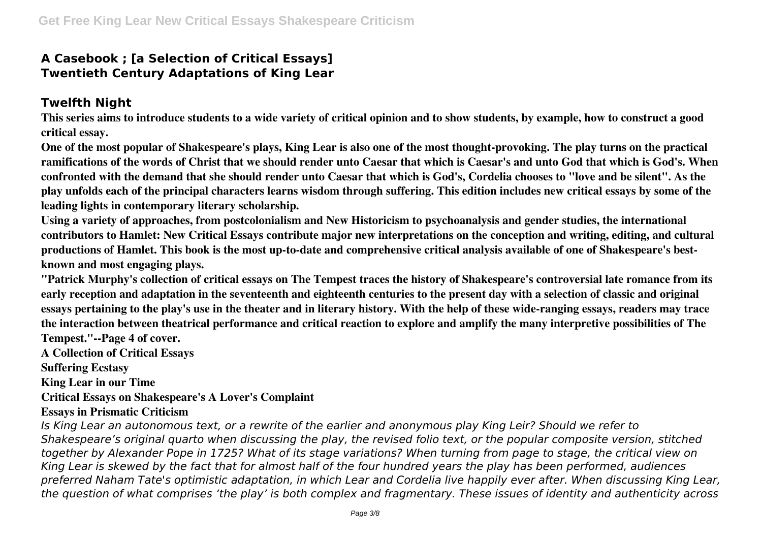### **A Casebook ; [a Selection of Critical Essays] Twentieth Century Adaptations of King Lear**

## **Twelfth Night**

**This series aims to introduce students to a wide variety of critical opinion and to show students, by example, how to construct a good critical essay.**

**One of the most popular of Shakespeare's plays, King Lear is also one of the most thought-provoking. The play turns on the practical ramifications of the words of Christ that we should render unto Caesar that which is Caesar's and unto God that which is God's. When confronted with the demand that she should render unto Caesar that which is God's, Cordelia chooses to "love and be silent". As the play unfolds each of the principal characters learns wisdom through suffering. This edition includes new critical essays by some of the leading lights in contemporary literary scholarship.**

**Using a variety of approaches, from postcolonialism and New Historicism to psychoanalysis and gender studies, the international contributors to Hamlet: New Critical Essays contribute major new interpretations on the conception and writing, editing, and cultural productions of Hamlet. This book is the most up-to-date and comprehensive critical analysis available of one of Shakespeare's bestknown and most engaging plays.**

**"Patrick Murphy's collection of critical essays on The Tempest traces the history of Shakespeare's controversial late romance from its early reception and adaptation in the seventeenth and eighteenth centuries to the present day with a selection of classic and original essays pertaining to the play's use in the theater and in literary history. With the help of these wide-ranging essays, readers may trace the interaction between theatrical performance and critical reaction to explore and amplify the many interpretive possibilities of The Tempest."--Page 4 of cover.**

**A Collection of Critical Essays**

**Suffering Ecstasy**

**King Lear in our Time**

**Critical Essays on Shakespeare's A Lover's Complaint**

#### **Essays in Prismatic Criticism**

*Is King Lear an autonomous text, or a rewrite of the earlier and anonymous play King Leir? Should we refer to Shakespeare's original quarto when discussing the play, the revised folio text, or the popular composite version, stitched together by Alexander Pope in 1725? What of its stage variations? When turning from page to stage, the critical view on King Lear is skewed by the fact that for almost half of the four hundred years the play has been performed, audiences preferred Naham Tate's optimistic adaptation, in which Lear and Cordelia live happily ever after. When discussing King Lear, the question of what comprises 'the play' is both complex and fragmentary. These issues of identity and authenticity across*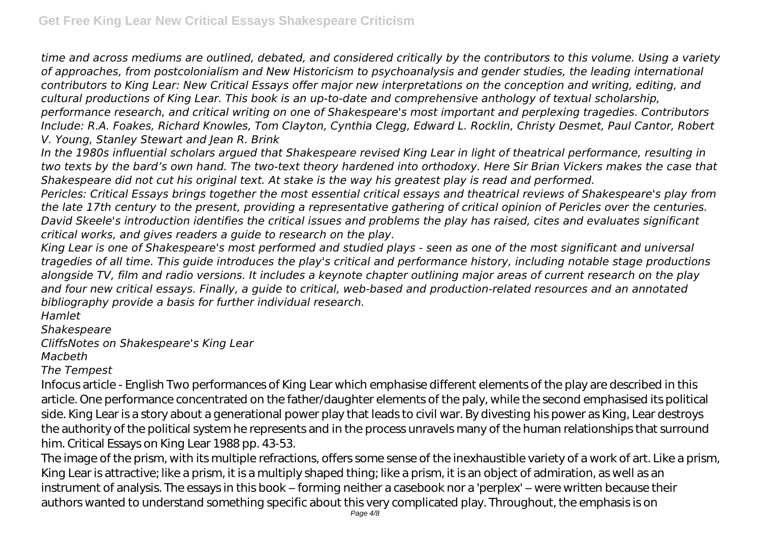*time and across mediums are outlined, debated, and considered critically by the contributors to this volume. Using a variety of approaches, from postcolonialism and New Historicism to psychoanalysis and gender studies, the leading international contributors to King Lear: New Critical Essays offer major new interpretations on the conception and writing, editing, and cultural productions of King Lear. This book is an up-to-date and comprehensive anthology of textual scholarship, performance research, and critical writing on one of Shakespeare's most important and perplexing tragedies. Contributors Include: R.A. Foakes, Richard Knowles, Tom Clayton, Cynthia Clegg, Edward L. Rocklin, Christy Desmet, Paul Cantor, Robert V. Young, Stanley Stewart and Jean R. Brink*

*In the 1980s influential scholars argued that Shakespeare revised King Lear in light of theatrical performance, resulting in two texts by the bard's own hand. The two-text theory hardened into orthodoxy. Here Sir Brian Vickers makes the case that Shakespeare did not cut his original text. At stake is the way his greatest play is read and performed.*

*Pericles: Critical Essays brings together the most essential critical essays and theatrical reviews of Shakespeare's play from the late 17th century to the present, providing a representative gathering of critical opinion of Pericles over the centuries. David Skeele's introduction identifies the critical issues and problems the play has raised, cites and evaluates significant critical works, and gives readers a guide to research on the play.*

*King Lear is one of Shakespeare's most performed and studied plays - seen as one of the most significant and universal tragedies of all time. This guide introduces the play's critical and performance history, including notable stage productions alongside TV, film and radio versions. It includes a keynote chapter outlining major areas of current research on the play and four new critical essays. Finally, a guide to critical, web-based and production-related resources and an annotated bibliography provide a basis for further individual research.*

*Hamlet*

*Shakespeare*

*CliffsNotes on Shakespeare's King Lear*

*Macbeth*

*The Tempest*

Infocus article - English Two performances of King Lear which emphasise different elements of the play are described in this article. One performance concentrated on the father/daughter elements of the paly, while the second emphasised its political side. King Lear is a story about a generational power play that leads to civil war. By divesting his power as King, Lear destroys the authority of the political system he represents and in the process unravels many of the human relationships that surround him. Critical Essays on King Lear 1988 pp. 43-53.

The image of the prism, with its multiple refractions, offers some sense of the inexhaustible variety of a work of art. Like a prism, King Lear is attractive; like a prism, it is a multiply shaped thing; like a prism, it is an object of admiration, as well as an instrument of analysis. The essays in this book – forming neither a casebook nor a 'perplex' – were written because their authors wanted to understand something specific about this very complicated play. Throughout, the emphasis is on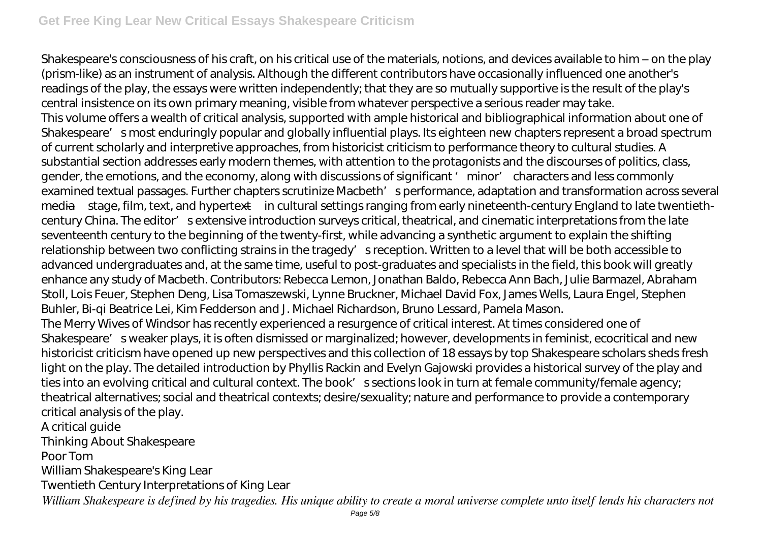Shakespeare's consciousness of his craft, on his critical use of the materials, notions, and devices available to him – on the play (prism-like) as an instrument of analysis. Although the different contributors have occasionally influenced one another's readings of the play, the essays were written independently; that they are so mutually supportive is the result of the play's central insistence on its own primary meaning, visible from whatever perspective a serious reader may take. This volume offers a wealth of critical analysis, supported with ample historical and bibliographical information about one of Shakespeare's most enduringly popular and globally influential plays. Its eighteen new chapters represent a broad spectrum of current scholarly and interpretive approaches, from historicist criticism to performance theory to cultural studies. A substantial section addresses early modern themes, with attention to the protagonists and the discourses of politics, class, gender, the emotions, and the economy, along with discussions of significant 'minor' characters and less commonly examined textual passages. Further chapters scrutinize Macbeth' sperformance, adaptation and transformation across several media—stage, film, text, and hypertext—in cultural settings ranging from early nineteenth-century England to late twentiethcentury China. The editor' s extensive introduction surveys critical, theatrical, and cinematic interpretations from the late seventeenth century to the beginning of the twenty-first, while advancing a synthetic argument to explain the shifting relationship between two conflicting strains in the tragedy's reception. Written to a level that will be both accessible to advanced undergraduates and, at the same time, useful to post-graduates and specialists in the field, this book will greatly enhance any study of Macbeth. Contributors: Rebecca Lemon, Jonathan Baldo, Rebecca Ann Bach, Julie Barmazel, Abraham Stoll, Lois Feuer, Stephen Deng, Lisa Tomaszewski, Lynne Bruckner, Michael David Fox, James Wells, Laura Engel, Stephen Buhler, Bi-qi Beatrice Lei, Kim Fedderson and J. Michael Richardson, Bruno Lessard, Pamela Mason. The Merry Wives of Windsor has recently experienced a resurgence of critical interest. At times considered one of Shakespeare's weaker plays, it is often dismissed or marginalized; however, developments in feminist, ecocritical and new historicist criticism have opened up new perspectives and this collection of 18 essays by top Shakespeare scholars sheds fresh light on the play. The detailed introduction by Phyllis Rackin and Evelyn Gajowski provides a historical survey of the play and ties into an evolving critical and cultural context. The book's sections look in turn at female community/female agency; theatrical alternatives; social and theatrical contexts; desire/sexuality; nature and performance to provide a contemporary critical analysis of the play. A critical guide Thinking About Shakespeare Poor Tom William Shakespeare's King Lear Twentieth Century Interpretations of King Lear

*William Shakespeare is defined by his tragedies. His unique ability to create a moral universe complete unto itself lends his characters not*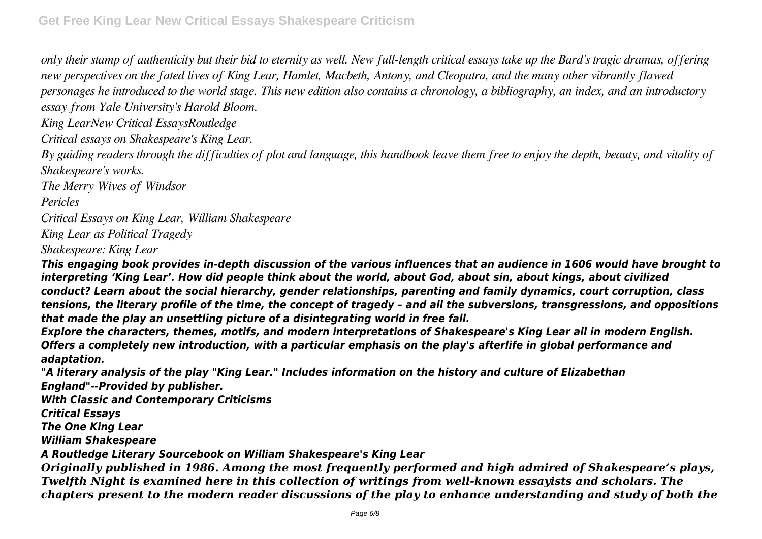*only their stamp of authenticity but their bid to eternity as well. New full-length critical essays take up the Bard's tragic dramas, offering new perspectives on the fated lives of King Lear, Hamlet, Macbeth, Antony, and Cleopatra, and the many other vibrantly flawed personages he introduced to the world stage. This new edition also contains a chronology, a bibliography, an index, and an introductory essay from Yale University's Harold Bloom.*

*King LearNew Critical EssaysRoutledge*

*Critical essays on Shakespeare's King Lear.*

*By guiding readers through the difficulties of plot and language, this handbook leave them free to enjoy the depth, beauty, and vitality of Shakespeare's works.*

*The Merry Wives of Windsor*

*Pericles*

*Critical Essays on King Lear, William Shakespeare*

*King Lear as Political Tragedy*

*Shakespeare: King Lear*

*This engaging book provides in-depth discussion of the various influences that an audience in 1606 would have brought to interpreting 'King Lear'. How did people think about the world, about God, about sin, about kings, about civilized conduct? Learn about the social hierarchy, gender relationships, parenting and family dynamics, court corruption, class tensions, the literary profile of the time, the concept of tragedy – and all the subversions, transgressions, and oppositions that made the play an unsettling picture of a disintegrating world in free fall.*

*Explore the characters, themes, motifs, and modern interpretations of Shakespeare's King Lear all in modern English. Offers a completely new introduction, with a particular emphasis on the play's afterlife in global performance and adaptation.*

*"A literary analysis of the play "King Lear." Includes information on the history and culture of Elizabethan England"--Provided by publisher.*

*With Classic and Contemporary Criticisms*

*Critical Essays*

*The One King Lear*

*William Shakespeare*

*A Routledge Literary Sourcebook on William Shakespeare's King Lear*

*Originally published in 1986. Among the most frequently performed and high admired of Shakespeare's plays, Twelfth Night is examined here in this collection of writings from well-known essayists and scholars. The chapters present to the modern reader discussions of the play to enhance understanding and study of both the*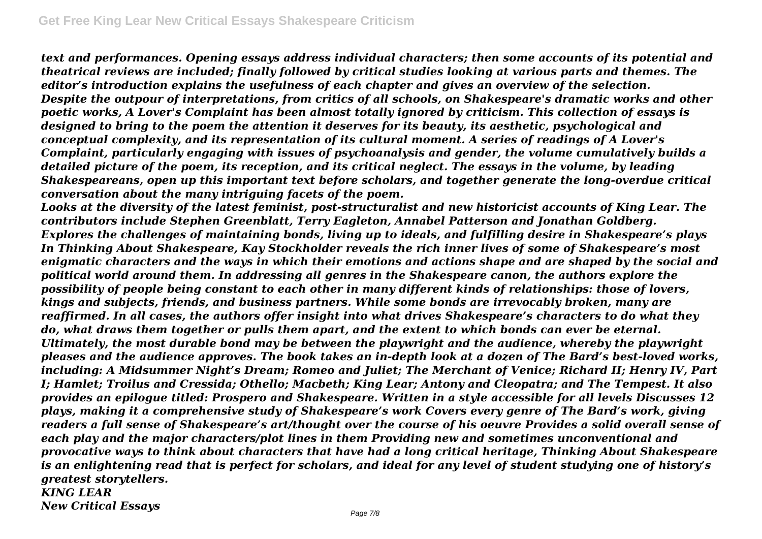*text and performances. Opening essays address individual characters; then some accounts of its potential and theatrical reviews are included; finally followed by critical studies looking at various parts and themes. The editor's introduction explains the usefulness of each chapter and gives an overview of the selection. Despite the outpour of interpretations, from critics of all schools, on Shakespeare's dramatic works and other poetic works, A Lover's Complaint has been almost totally ignored by criticism. This collection of essays is designed to bring to the poem the attention it deserves for its beauty, its aesthetic, psychological and conceptual complexity, and its representation of its cultural moment. A series of readings of A Lover's Complaint, particularly engaging with issues of psychoanalysis and gender, the volume cumulatively builds a detailed picture of the poem, its reception, and its critical neglect. The essays in the volume, by leading Shakespeareans, open up this important text before scholars, and together generate the long-overdue critical conversation about the many intriguing facets of the poem.*

*Looks at the diversity of the latest feminist, post-structuralist and new historicist accounts of King Lear. The contributors include Stephen Greenblatt, Terry Eagleton, Annabel Patterson and Jonathan Goldberg. Explores the challenges of maintaining bonds, living up to ideals, and fulfilling desire in Shakespeare's plays In Thinking About Shakespeare, Kay Stockholder reveals the rich inner lives of some of Shakespeare's most enigmatic characters and the ways in which their emotions and actions shape and are shaped by the social and political world around them. In addressing all genres in the Shakespeare canon, the authors explore the possibility of people being constant to each other in many different kinds of relationships: those of lovers, kings and subjects, friends, and business partners. While some bonds are irrevocably broken, many are reaffirmed. In all cases, the authors offer insight into what drives Shakespeare's characters to do what they do, what draws them together or pulls them apart, and the extent to which bonds can ever be eternal. Ultimately, the most durable bond may be between the playwright and the audience, whereby the playwright pleases and the audience approves. The book takes an in-depth look at a dozen of The Bard's best-loved works, including: A Midsummer Night's Dream; Romeo and Juliet; The Merchant of Venice; Richard II; Henry IV, Part I; Hamlet; Troilus and Cressida; Othello; Macbeth; King Lear; Antony and Cleopatra; and The Tempest. It also provides an epilogue titled: Prospero and Shakespeare. Written in a style accessible for all levels Discusses 12 plays, making it a comprehensive study of Shakespeare's work Covers every genre of The Bard's work, giving readers a full sense of Shakespeare's art/thought over the course of his oeuvre Provides a solid overall sense of each play and the major characters/plot lines in them Providing new and sometimes unconventional and provocative ways to think about characters that have had a long critical heritage, Thinking About Shakespeare is an enlightening read that is perfect for scholars, and ideal for any level of student studying one of history's greatest storytellers. KING LEAR*

*New Critical Essays*